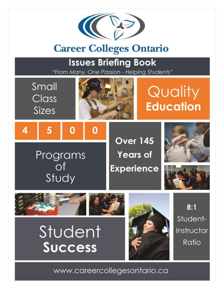

# **Career Colleges Ontario**

# **Issues Briefing Book**

"From Many, One Passion - Helping Students"



www.careercollegesontario.ca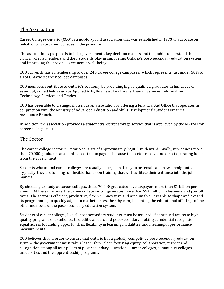# The Association

Career Colleges Ontario (CCO) is a not-for-profit association that was established in 1973 to advocate on behalf of private career colleges in the province.

The association's purpose is to help governments, key decision makers and the public understand the critical role its members and their students play in supporting Ontario's post-secondary education system and improving the province's economic well-being.

CCO currently has a membership of over 240 career college campuses, which represents just under 50% of all of Ontario's career college campuses.

CCO members contribute to Ontario's economy by providing highly qualified graduates in hundreds of essential, skilled fields such as Applied Arts, Business, Healthcare, Human Services, Information Technology, Services and Trades.

CCO has been able to distinguish itself as an association by offering a Financial Aid Office that operates in conjunction with the Ministry of Advanced Education and Skills Development's Student Financial Assistance Branch.

In addition, the association provides a student transcript storage service that is approved by the MAESD for career colleges to use.

# The Sector

The career college sector in Ontario consists of approximately 92,000 students. Annually, it produces more than 70,000 graduates at a minimal cost to taxpayers, because the sector receives no direct operating funds from the government.

Students who attend career colleges are usually older, more likely to be female and new-immigrants. Typically, they are looking for flexible, hands-on training that will facilitate their entrance into the job market.

By choosing to study at career colleges, those 70,000 graduates save taxpayers more than \$1 billion per annum. At the same time, the career college sector generates more than \$94 million in business and payroll taxes. The sector is efficient, productive, flexible, innovative and accountable. It is able to shape and expand its programming to quickly adjust to market forces, thereby complementing the educational offerings of the other members of the post-secondary education system.

Students of career colleges, like all post-secondary students, must be assured of continued access to highquality programs of excellence, to credit transfers and post-secondary mobility, credential recognition, equal access to funding opportunities, flexibility in learning modalities, and meaningful performance measurements.

CCO believes that in order to ensure that Ontario has a globally competitive post-secondary education system, the government must take a leadership role in fostering equity, collaboration, respect and recognition among all four pillars of post-secondary education – career colleges, community colleges, universities and the apprenticeship programs.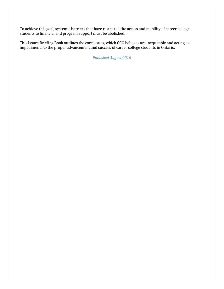To achieve this goal, systemic barriers that have restricted the access and mobility of career college students to financial and program support must be abolished.

This Issues Briefing Book outlines the core issues, which CCO believes are inequitable and acting as impediments to the proper advancement and success of career college students in Ontario.

*Published August 2016*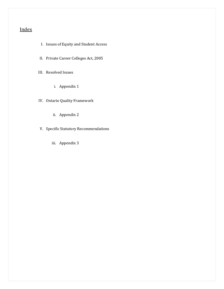# Index

- I. Issues of Equity and Student Access
- II. Private Career Colleges Act, 2005

III. Resolved Issues

i. Appendix 1

IV. Ontario Quality Framework

- ii. Appendix 2
- V. Specific Statutory Recommendations
	- iii. Appendix 3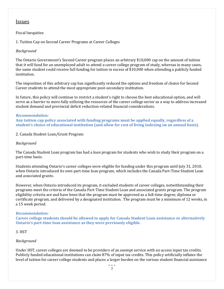# Issues

# Fiscal Inequities

1. Tuition Cap on Second Career Programs at Career Colleges

# *Background*

The Ontario Government's Second Career program places an arbitrary \$10,000 cap on the amount of tuition that it will fund for an unemployed adult to attend a career college program of study, whereas in many cases, the same student could receive full funding for tuition in excess of \$10,000 when attending a publicly funded institution.

The imposition of this arbitrary cap has significantly reduced the options and freedom of choice for Second Career students to attend the most appropriate post-secondary institution.

In future, this policy will continue to restrict a student's right to choose the best educational option, and will serve as a barrier to more fully utilizing the resources of the career college sector as a way to address increased student demand and provincial deficit reduction-related financial considerations.

# *Recommendation:*

**Any tuition cap policy associated with funding programs must be applied equally, regardless of a student's choice of educational institution (and allow for cost of living indexing on an annual basis).**

# 2. Canada Student Loan/Grant Program

# *Background*

The Canada Student Loan program has had a loan program for students who wish to study their program on a part-time basis.

Students attending Ontario's career colleges were eligible for funding under this program until July 31, 2010, when Ontario introduced its own part-time loan program, which includes the Canada Part-Time Student Loan and associated grants.

However, when Ontario introduced its program, it excluded students of career colleges, notwithstanding their programs meet the criteria of the Canada Part-Time Student Loan and associated grants program. The program eligibility criteria are and have been that the program must be approved as a full-time degree, diploma or certificate program, and delivered by a designated institution. The program must be a minimum of 12 weeks, in a 15 week period.

# *Recommendation:*

**Career college students should be allowed to apply for Canada Student Loan assistance or alternatively Ontario's part-time loan assistance as they were previously eligible.**

# 3. HST

# *Background*

Under HST, career colleges are deemed to be providers of an exempt service with no access input tax credits. Publicly funded educational institutions can claim 87% of input tax credits. This policy artificially inflates the level of tuition for career college students and places a larger burden on the various student financial assistance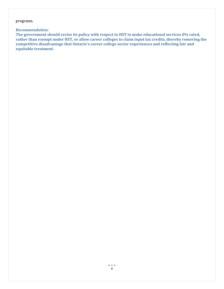### programs.

### *Recommendation:*

**The government should revise its policy with respect to HST to make educational services 0% rated, rather than exempt under HST, or allow career colleges to claim input tax credits, thereby removing the competitive disadvantage that Ontario's career college sector experiences and reflecting fair and equitable treatment.**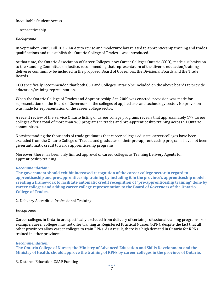# Inequitable Student Access

# 1. Apprenticeship

# *Background*

In September, 2009, Bill 183 – An Act to revise and modernize law related to apprenticeship training and trades qualifications and to establish the Ontario College of Trades – was introduced.

At that time, the Ontario Association of Career Colleges, now Career Colleges Ontario (CCO), made a submission to the Standing Committee on Justice, recommending that representation of the diverse education/training deliverer community be included in the proposed Board of Governors, the Divisional Boards and the Trade Boards.

CCO specifically recommended that both CCO and Colleges Ontario be included on the above boards to provide education/training representation.

When the Ontario College of Trades and Apprenticeship Act, 2009 was enacted, provision was made for representation on the Board of Governors of the colleges of applied arts and technology sector. No provision was made for representation of the career college sector.

A recent review of the Service Ontario listing of career college programs reveals that approximately 177 career colleges offer a total of more than 960 programs in trades and pre-apprenticeship training across 51 Ontario communities.

Notwithstanding the thousands of trade graduates that career colleges educate, career colleges have been excluded from the Ontario College of Trades, and graduates of their pre-apprenticeship programs have not been given automatic credit towards apprenticeship programs.

Moreover, there has been only limited approval of career colleges as Training Delivery Agents for apprenticeship training.

### *Recommendation:*

**The government should exhibit increased recognition of the career college sector in regard to apprenticeship and pre-apprenticeship training by including it in the province's apprenticeship model, creating a framework to facilitate automatic credit recognition of "pre-apprenticeship training" done by career colleges and adding career college representation to the Board of Governors of the Ontario College of Trades.** 

### 2. Delivery Accredited Professional Training

# *Background*

Career colleges in Ontario are specifically excluded from delivery of certain professional training programs. For example, career colleges may not offer training as Registered Practical Nurses (RPN), despite the fact that all other provinces allow career colleges to train RPNs. As a result, there is a high demand in Ontario for RPNs trained in other provinces.

### *Recommendation:*

**The Ontario College of Nurses, the Ministry of Advanced Education and Skills Development and the Ministry of Health, should approve the training of RPNs by career colleges in the province of Ontario.**

3. Distance Education OSAP Funding

 $\bullet$   $\bullet$   $\bullet$ *7*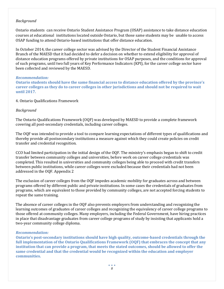# *Background*

Ontario students can receive Ontario Student Assistance Program (OSAP) assistance to take distance education courses at educational institutions located outside Ontario, but those same students may be unable to access OSAP funding to attend Ontario-based institutions that offer distance education.

In October 2014, the career college sector was advised by the Director of the Student Financial Assistance Branch of the MAESD that it had decided to defer a decision on whether to extend eligibility for approval of distance education programs offered by private institutions for OSAP purposes, and the conditions for approval of such programs, until two full years of Key Performance Indicators (KPI), for the career college sector have been collected and reviewed by the MAESD.

### *Recommendation:*

**Ontario students should have the same financial access to distance education offered by the province's career colleges as they do to career colleges in other jurisdictions and should not be required to wait until 2017.**

4. Ontario Qualifications Framework

# *Background*

The Ontario Qualifications Framework (OQF) was developed by MAESD to provide a complete framework covering all post-secondary credentials, including career colleges.

The OQF was intended to provide a tool to compare learning expectations of different types of qualifications and thereby provide all postsecondary institutions a measure against which they could create policies on credit transfer and credential recognition.

CCO had limited participation in the initial design of the OQF. The ministry's emphasis began to shift to credit transfer between community colleges and universities, before work on career college credentials was completed. This resulted in universities and community colleges being able to proceed with credit transfers between public institutions, while career colleges were excluded because their credentials had not been addressed in the OQF. Appendix 2

The exclusion of career colleges from the OQF impedes academic mobility for graduates across and between programs offered by different public and private institutions. In some cases the credentials of graduates from programs, which are equivalent to those provided by community colleges, are not accepted forcing students to repeat the same training.

The absence of career colleges in the OQF also prevents employers from understanding and recognizing the learning outcomes of graduates of career colleges and recognizing the equivalency of career college programs to those offered at community colleges. Many employers, including the Federal Government, have hiring practices in place that disadvantage graduates from career college programs of study by insisting that applicants hold a two-year community college diploma.

### *Recommendation:*

**Ontario's post-secondary institutions should have high quality, outcome-based credentials through the full implementation of the Ontario Qualifications Framework (OQF) that embraces the concept that any institution that can provide a program, that meets the stated outcomes, should be allowed to offer the same credential and that the credential would be recognized within the education and employer communities.**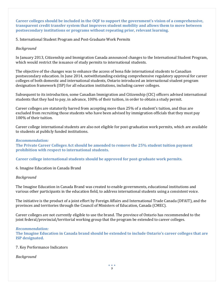**Career colleges should be included in the OQF to support the government's vision of a comprehensive, transparent credit transfer system that improves student mobility and allows them to move between postsecondary institutions or programs without repeating prior, relevant learning.**

5. International Student Program and Post-Graduate Work Permits

# *Background*

In January 2013, Citizenship and Immigration Canada announced changes to the International Student Program, which would restrict the issuance of study permits to international students.

The objective of the changes was to enhance the access of bona fide international students to Canadian postsecondary education. In June 2014, notwithstanding existing comprehensive regulatory approval for career colleges of both domestic and international students, Ontario introduced an international student program designation framework (ISP) for all education institutions, including career colleges.

Subsequent to its introduction, some Canadian Immigration and Citizenship (CIC) officers advised international students that they had to pay, in advance, 100% of their tuition, in order to obtain a study permit.

Career colleges are statutorily barred from accepting more than 25% of a student's tuition, and thus are excluded from recruiting those students who have been advised by immigration officials that they must pay 100% of their tuition.

Career college international students are also not eligible for post-graduation work permits, which are available to students at publicly funded institutions.

# *Recommendation:*

**The Private Career Colleges Act should be amended to remove the 25% student tuition payment prohibition with respect to international students.** 

**Career college international students should be approved for post-graduate work permits.** 

6. Imagine Education in Canada Brand

# *Background*

The Imagine Education in Canada Brand was created to enable governments, educational institutions and various other participants in the education field, to address international students using a consistent voice.

The initiative is the product of a joint effort by Foreign Affairs and International Trade Canada (DFAIT), and the provinces and territories through the Council of Ministers of Education, Canada (CMEC).

Career colleges are not currently eligible to use the brand. The province of Ontario has recommended to the joint federal/provincial/territorial working group that the program be extended to career colleges.

# *Recommendation:*

**The Imagine Education in Canada brand should be extended to include Ontario's career colleges that are ISP designated.**

# 7. Key Performance Indicators

# *Background*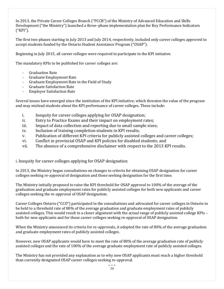In 2013, the Private Career Colleges Branch ("PCCB") of the Ministry of Advanced Education and Skills Development ("the Ministry") launched a three–phase implementation plan for Key Performance Indicators ("KPI").

The first two phases starting in July 2013 and July 2014, respectively, included only career colleges approved to accept students funded by the Ontario Student Assistance Program ("OSAP").

Beginning in July 2015, all career colleges were required to participate in the KPI initiative.

The mandatory KPIs to be published for career colleges are:

- Graduation Rate
- Graduate Employment Rate
- Graduate Employment Rate in the Field of Study
- Graduate Satisfaction Rate
- Employer Satisfaction Rate

Several issues have emerged since the institution of the KPI initiative, which threaten the value of the program and may mislead students about the KPI performance of career colleges. These include:

- i. Inequity for career colleges applying for OSAP designation;
- ii. Entry to Practice Exams and their impact on employment rates;
- iii. Impact of data collection and reporting due to small sample sizes;
- iv. Inclusion of training completion students in KPI results;
- v. Publication of different KPI criteria for publicly assisted colleges and career colleges;
- vi. Conflict in provincial OSAP and KPI policies for disabled students; and
- vii. The absence of a comprehensive disclaimer with respect to the 2013 KPI results.

i. Inequity for career colleges applying for OSAP designation

In 2013, the Ministry began consultations on changes to criteria for obtaining OSAP designation for career colleges seeking re-approval of designation and those seeking designation for the first time.

The Ministry initially proposed to raise the KPI threshold for OSAP approval to 100% of the average of the graduation and graduate employment rates for publicly assisted colleges for both new applicants and career colleges seeking the re-approval of OSAP designation.

Career Colleges Ontario ("CCO") participated in the consultations and advocated for career colleges in Ontario to be held to a threshold rate of 80% of the average graduation and graduate employment rates of publicly assisted colleges. This would result in a closer alignment with the actual range of publicly assisted college KPIs – both for new applicants and for those career colleges seeking re-approval of OSAP designation.

When the Ministry announced its criteria for re-approvals, it adopted the rate of 80% of the average graduation and graduate employment rates of publicly assisted colleges.

However, new OSAP applicants would have to meet the rate of 80% of the average graduation rate of publicly assisted colleges and the rate of 100% of the average graduate employment rate of publicly assisted colleges.

The Ministry has not provided any explanation as to why new OSAP applicants must reach a higher threshold than currently designated OSAP career colleges seeking re-approval.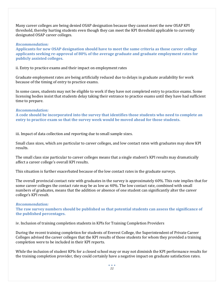Many career colleges are being denied OSAP designation because they cannot meet the new OSAP KPI threshold, thereby hurting students even though they can meet the KPI threshold applicable to currently designated OSAP career colleges.

### *Recommendation:*

**Applicants for new OSAP designation should have to meet the same criteria as those career college applicants seeking re-approval of 80% of the average graduate and graduate employment rates for publicly assisted colleges.**

ii. Entry to practice exams and their impact on employment rates

Graduate employment rates are being artificially reduced due to delays in graduate availability for work because of the timing of entry to practice exams.

In some cases, students may not be eligible to work if they have not completed entry to practice exams. Some licensing bodies insist that students delay taking their entrance to practice exams until they have had sufficient time to prepare.

### *Recommendation:*

**A code should be incorporated into the survey that identifies those students who need to complete an entry to practice exam so that the survey week would be moved ahead for those students.**

iii. Impact of data collection and reporting due to small sample sizes.

Small class sizes, which are particular to career colleges, and low contact rates with graduates may skew KPI results.

The small class size particular to career colleges means that a single student's KPI results may dramatically affect a career college's overall KPI results.

This situation is further exacerbated because of the low contact rates in the graduate surveys.

The overall provincial contact rate with graduates in the survey is approximately 60%. This rate implies that for some career colleges the contact rate may be as low as 40%. The low contact rate, combined with small numbers of graduates, means that the addition or absence of one student can significantly alter the career college's KPI result.

### *Recommendation:*

**The raw survey numbers should be published so that potential students can assess the significance of the published percentages.**

iv. Inclusion of training completion students in KPIs for Training Completion Providers

During the recent training completion for students of Everest College, the Superintendent of Private Career Colleges advised the career colleges that the KPI results of those students for whom they provided a training completion were to be included in their KPI reports.

While the inclusion of student KPIs for a closed school may or may not diminish the KPI performance results for the training completion provider, they could certainly have a negative impact on graduate satisfaction rates.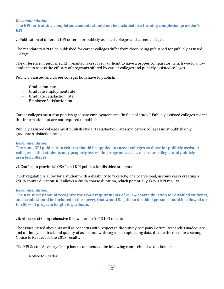### *Recommendation:*

**The KPI for training completion students should not be included in a training completion provider's KPI.**

v. Publication of different KPI criteria for publicly assisted colleges and career colleges.

The mandatory KPI to be published for career colleges differ from those being published for publicly assisted colleges.

The difference in published KPI results makes it very difficult to have a proper comparator, which would allow students to assess the efficacy of programs offered by career colleges and publicly assisted colleges.

Publicly assisted and career colleges both have to publish:

- Graduation rate
- Graduate employment rate
- Graduate Satisfaction rate
- Employer Satisfaction rate

Career colleges must also publish graduate employment rate "in field of study". Publicly assisted colleges collect this information but are not required to publish it.

Publicly assisted colleges must publish student satisfaction rates and career colleges must publish only graduate satisfaction rates.

### *Recommendation:*

**The same KPI publication criteria should be applied to career colleges as those for publicly assisted colleges so that students may properly assess the program success of career colleges and publicly assisted colleges.**

vi. Conflict in provincial OSAP and KPI policies for disabled students

OSAP regulations allow for a student with a disability to take 40% of a coarse load, in some cases creating a 250% course duration. KPI allows a 200% coarse duration, which potentially skews KPI results.

### *Recommendation:*

**The KPI survey should recognize the OSAP requirements of 250% coarse duration for disabled students, and a code should be included in the survey that would flag that a disabled person should be allowed up to 250% of program length to graduate.**

vii. Absence of Comprehensive Disclaimer for 2013 KPI results

The issues raised above, as well as concerns with respect to the survey company Forum Research's inadequate and untimely feedback and quality of assistance with regards to uploading data, dictate the need for a strong Notice to Reader for the 2013 results.

The KPI Sector Advisory Group has recommended the following comprehensive disclaimer:

Notice to Reader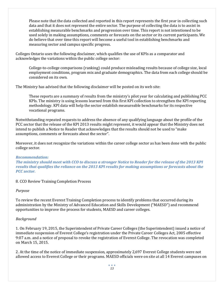Please note that the data collected and reported in this report represents the first year in collecting such data and that it does not represent the entire sector. The purpose of collecting the data is to assist in establishing measurable benchmarks and progression over time. This report is not intentioned to be used solely in making assumptions, comments or forecasts on the sector or its current participants. We do believe that over time this report will become a useful tool in establishing benchmarks and measuring sector and campus specific progress.

Colleges Ontario uses the following disclaimer, which qualifies the use of KPIs as a comparator and acknowledges the variations within the public college sector:

College-to-college comparisons (ranking) could produce misleading results because of college size, local employment conditions, program mix and graduate demographics. The data from each college should be considered on its own.

The Ministry has advised that the following disclaimer will be posted on its web site:

These reports are a summary of results from the ministry's pilot year for calculating and publishing PCC KPIs. The ministry is using lessons learned from this first KPI collection to strengthen the KPI reporting methodology. KPI data will help the sector establish measureable benchmarks for its respective vocational programs.

Notwithstanding repeated requests to address the absence of any qualifying language about the profile of the PCC sector that the release of the KPI 2013 results might represent, it would appear that the Ministry does not intend to publish a Notice to Reader that acknowledges that the results should not be used to "make assumptions, comments or forecasts about the sector".

Moreover, it does not recognize the variations within the career college sector as has been done with the public college sector.

# *Recommendation:*

*The ministry should meet with CCO to discuss a stronger Notice to Reader for the release of the 2013 KPI results that qualifies the reliance on the 2013 KPI results for making assumptions or forecasts about the PCC sector.*

# 8. CCO Review Training Completion Process

### *Purpose*

To review the recent Everest Training Completion process to identify problems that occurred during its administration by the Ministry of Advanced Education and Skills Development ("MAESD") and recommend opportunities to improve the process for students, MAESD and career colleges.

### *Background*

1. On February 19, 2015, the Superintendent of Private Career Colleges (the Superintendent) issued a notice of immediate suspension of Everest College's registration under the Private Career Colleges Act, 2005 effective 9:07 a.m. and a notice of proposal to revoke the registration of Everest College. The revocation was completed on March 15, 2015.

2. At the time of the notice of immediate suspension, approximately 2,697 Everest College students were not allowed access to Everest College or their programs. MAESD officials were on site at all 14 Everest campuses on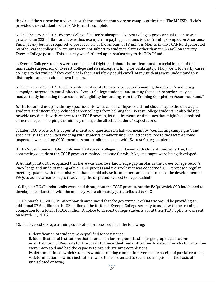the day of the suspension and spoke with the students that were on campus at the time. The MAESD officials provided these students with TCAF forms to complete.

3. On February 20, 2015, Everest College filed for bankruptcy. Everest College's gross annual revenue was greater than \$25 million, and it was thus exempt from paying premiums to the Training Completion Assurance Fund (TCAF) but was required to post security in the amount of \$3 million. Monies in the TCAF fund generated by other career colleges' premiums were not subject to students' claims other than the \$3 million security Everest College posted. This security was forfeited upon bankruptcy to the TCAF fund.

4. Everest College students were confused and frightened about the academic and financial impact of the immediate suspension of Everest College and its subsequent filing for bankruptcy. Many went to nearby career colleges to determine if they could help them and if they could enroll. Many students were understandably distraught, some breaking down in tears.

5. On February 20, 2015, the Superintendent wrote to career colleges dissuading them from "conducting campaigns targeted to enroll affected Everest College students" and stating that such behavior "may be inadvertently impacting these students' eligibility for funding from the Training Completion Assurance Fund."

6. The letter did not provide any specifics as to what career colleges could and should say to the distraught students and effectively precluded career colleges from helping the Everest College students. It also did not provide any details with respect to the TCAF process, its requirements or timelines that might have assisted career colleges in helping the ministry manage the affected students' expectations.

7. Later, CCO wrote to the Superintendent and questioned what was meant by "conducting campaigns", and specifically if this included meeting with students or advertising. The letter referred to the fact that some inspectors were telling CCO's members not to talk to or meet with Everest College students.

8. The Superintendent later confirmed that career colleges could meet with students and advertise, but contracting outside of the TCAF process remained an issue for which key messages were being developed.

9. At that point CCO recognized that there was a serious knowledge gap insofar as the career college sector's knowledge and understanding of the TCAF process and their role in it was concerned. CCO proposed regular meeting updates with the ministry so that it could advise its members and also proposed the development of FAQs to assist career colleges in advising the displaced Everest College students.

10. Regular TCAF update calls were held throughout the TCAF process, but the FAQs, which CCO had hoped to develop in conjunction with the ministry, were ultimately just attributed to CCO.

11. On March 11, 2015, Minister Moridi announced that the government of Ontario would be providing an additional \$7.6 million to the \$3 million of the forfeited Everest College security to assist with the training completion for a total of \$10.6 million. A notice to Everest College students about their TCAF options was sent on March 11, 2015.

12. The Everest College training completion process required the following:

i. identification of students who qualified for assistance;

ii. identification of institutions that offered similar programs in similar geographical location; iii. distribution of Requests for Proposals to those identified institutions to determine which institutions were interested and had the capacity to provide training completions;

iv. determination of which students wanted training completions versus the receipt of partial refunds; v. determination of which institutions were to be presented to students as option on the basis of undisclosed criteria; $\bullet$   $\bullet$   $\bullet$ 

*14*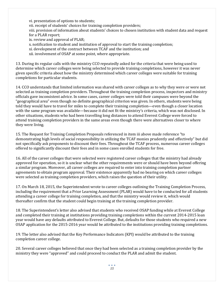vi. presentation of options to students; vii. receipt of students' choices for training completion providers; viii. provision of information about students' choices to chosen institution with student data and request for a PLAR report; ix. review and approval of PLAR; x. notification to student and institution of approval to start the training completion; xi. development of the contract between TCAF and the institution; and

xii. involvement of OSAP at some point, where appropriate.

13. During its regular calls with the ministry CCO repeatedly asked for the criteria that were being used to determine which career colleges were being selected to provide training completions, however it was never given specific criteria about how the ministry determined which career colleges were suitable for training completions for particular students.

14. CCO understands that limited information was shared with career colleges as to why they were or were not selected as training completion providers. Throughout the training completion process, inspectors and ministry officials gave inconsistent advice. In some cases, career colleges were told their campuses were beyond the "geographical area" even though no definite geographical criterion was given. In others, students were being told they would have to travel for miles to complete their training completion—even though a closer location with the same program was available—because it did not fit the ministry's criteria, which was not disclosed. In other situations, students who had been travelling long distances to attend Everest College were forced to attend training completion providers in the same areas even though there were alternatives closer to where they were living.

15. The Request for Training Completion Proposals referenced in item iii above made reference "to demonstrating high levels of social responsibility in utilizing the TCAF monies prudently and effectively" but did not specifically ask proponents to discount their fees. Throughout the TCAF process, numerous career colleges offered to significantly discount their fees and in some cases enrolled students for free.

16. All of the career colleges that were selected were registered career colleges that the ministry had already approved for operation, so it is unclear what the other requirements were or should have been beyond offering a similar program. Moreover, all career colleges are required to enter into training completion partner agreements to obtain program approval. Their existence apparently had no bearing on which career colleges were selected as training completion providers, which raises the question of their utility.

17. On March 18, 2015, the Superintendent wrote to career colleges outlining the Training Completion Process, including the requirement that a Prior Learning Assessment (PLAR) would have to be conducted for all students attending a career college for training completion, and that the ministry would review it, which would thereafter confirm that the student could begin training at the training completion provider.

18. The Superintendent's letter also advised that students who received OSAP funding while at Everest College and completed their training at institutions providing training completions within the current 2014-2015 loan year would have any defaults attributed to Everest College. But, defaults for those students who required a new OSAP application for the 2015-2016 year would be attributed to the institutions providing training completions.

19. The letter also advised that the Key Performance Indicators (KPI) would be attributed to the training completion career college.

20. Several career colleges believed that once they had been selected as a training completion provider by the ministry they were "approved" and could proceed to conduct the PLAR and admit the student.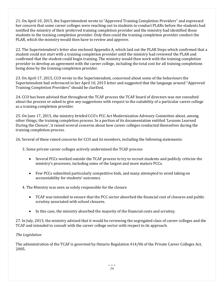21. On April 10, 2015, the Superintendent wrote to "Approved Training Completion Providers" and expressed her concern that some career colleges were reaching out to students to conduct PLARs before the students had notified the ministry of their preferred training completion provider and the ministry had identified those students to the training completion provider. Only then could the training completion provider conduct the PLAR, which the ministry would then have to review and approve.

22. The Superintendent's letter also enclosed Appendix A, which laid out the PLAR Steps which confirmed that a student could not start with a training completion provider until the ministry had reviewed the PLAR and confirmed that the student could begin training. The ministry would then work with the training completion provider to develop an agreement with the career college, including the total cost for all training completions being done by the training completion provider.

23. On April 17, 2015, CCO wrote to the Superintendent, concerned about some of the behaviours the Superintendent had referenced in her April 10, 2015 letter and suggested that the language around "Approved Training Completion Providers" should be clarified.

24. CCO has been advised that throughout the TCAF process the TCAF board of directors was not consulted about the process or asked to give any suggestions with respect to the suitability of a particular career college as a training completion provider.

25. On June 17, 2015, the ministry briefed CCO's PCC Act Modernization Advisory Committee about, among other things, the training completion process. In a portion of its documentation entitled 'Lessons Learned During the Closure', it raised several concerns about how career colleges conducted themselves during the training completion process.

26. Several of these raised concerns for CCO and its members, including the following statements:

3. Some private career colleges actively undermined the TCAF process

- Several PCCs worked outside the TCAF process to try to recruit students and publicly criticize the ministry's processes, including some of the largest and more mature PCCs.
- Few PCCs submitted particularly competitive bids, and many attempted to avoid taking on accountability for students' outcomes.

4. The Ministry was seen as solely responsible for the closure

- TCAF was intended to ensure that the PCC sector absorbed the financial cost of closures and public scrutiny associated with school closures.
- In this case, the ministry absorbed the majority of the financial costs and scrutiny.

27. In July, 2015, the ministry advised that it would be reviewing the segregated class of career colleges and the TCAF and intended to consult with the career college sector with respect to its approach.

# *The Legislation*

The administration of the TCAF is governed by Ontario Regulation 414/06 of the Private Career Colleges Act, 2005.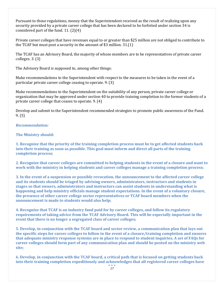Pursuant to those regulations, money that the Superintendent received as the result of realizing upon any security provided by a private career college that has been declared to be forfeited under section 34 is considered part of the fund. 11. (2)(4)

Private career colleges that have revenues equal to or greater than \$25 million are not obliged to contribute to the TCAF but must post a security in the amount of \$3 million. 31.(1)

The TCAF has an Advisory Board, the majority of whose members are to be representatives of private career colleges. 3. (3)

The Advisory Board is supposed to, among other things:

Make recommendations to the Superintendent with respect to the measures to be taken in the event of a particular private career college ceasing to operate. 9. (3)

Make recommendations to the Superintendent on the suitability of any person, private career college or organization that may be approved under section 40 to provide training completion to the former students of a private career college that ceases to operate. 9. (4)

Develop and submit to the Superintendent recommended strategies to promote public awareness of the Fund. 9. (5)

# *Recommendation:*

# **The Ministry should:**

**1. Recognize that the priority of the training completion process must be to get affected students back into their training as soon as possible. This goal must inform and direct all parts of the training completion process;**

**2. Recognize that career colleges are committed to helping students in the event of a closure and want to work with the ministry in helping students and career colleges manage a training completion process;**

**3. In the event of a suspension or possible revocation, the announcement to the affected career college and its students should be triaged by advising owners, administrators, instructors and students in stages so that owners, administrators and instructors can assist students in understanding what is happening and help ministry officials manage student expectations. In the event of a voluntary closure, the presence of other career college sector representatives or TCAF board members when the announcement is made to students would also help;**

**4. Recognize that TCAF is an industry fund paid for by career colleges, and follow its regulatory requirements of taking advice from the TCAF Advisory Board. This will be especially important in the event that there is no longer a segregated class of career colleges;**

**5. Develop, in conjunction with the TCAF board and sector review, a communication plan that lays out the specific steps for career colleges to follow in the event of a closure/training completion and ensures that adequate ministry response systems are in place to respond to student inquiries. A set of FAQs for career colleges should form part of any communication plan and should be posted on the ministry web site;**

**6. Develop, in conjunction with the TCAF board, a critical path that is focused on getting students back into their training completion expeditiously and acknowledges that all registered career colleges have**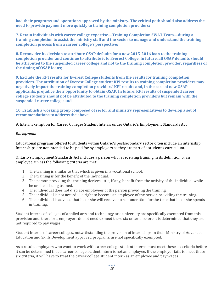**had their programs and operations approved by the ministry. The critical path should also address the need to provide payment more quickly to training completion providers;**

**7. Retain individuals with career college expertise—Training Completion SWAT Team—during a training completion to assist the ministry staff and the sector to manage and understand the training completion process from a career college's perspective;**

**8. Reconsider its decision to attribute OSAP defaults for a new 2015-2016 loan to the training completion provider and continue to attribute it to Everest College. In future, all OSAP defaults should be attributed to the suspended career college and not to the training completion provider, regardless of the timing of OSAP loans;**

**9. Exclude the KPI results for Everest College students from the results for training completion providers. The attribution of Everest College student KPI results to training completion providers may negatively impact the training completion providers' KPI results and, in the case of new OSAP applicants, prejudice their opportunity to obtain OSAP. In future, KPI results of suspended career college students should not be attributed to the training completion providers but remain with the suspended career college; and**

**10. Establish a working group composed of sector and ministry representatives to develop a set of recommendations to address the above.**

9. Intern Exemption for Career Colleges Student Interns under Ontario's Employment Standards Act

# *Background*

Educational programs offered to students within Ontario's postsecondary sector often include an internship. Internships are not intended to be paid for by employers as they are part of a student's curriculum.

Ontario's Employment Standards Act includes a person who is receiving training in its definition of an employee, unless the following criteria are met:

- 1. The training is similar to that which is given in a vocational school.
- 2. The training is for the benefit of the individual.
- 3. The person providing the training derives little, if any, benefit from the activity of the individual while he or she is being trained.
- 4. The individual does not displace employees of the person providing the training.
- 5. The individual is not accorded a right to become an employee of the person providing the training.
- 6. The individual is advised that he or she will receive no remuneration for the time that he or she spends in training.

Student interns of colleges of applied arts and technology or a university are specifically exempted from this provision and, therefore, employers do not need to meet these six criteria before it is determined that they are not required to pay wages.

Student interns of career colleges, notwithstanding the provision of internships in their Ministry of Advanced Education and Skills Development approved programs, are not specifically exempted.

As a result, employers who want to work with career college student interns must meet these six criteria before it can be determined that a career college student intern is not an employee. If the employer fails to meet these six criteria, it will have to treat the career college student intern as an employee and pay wages.

> $\bullet$   $\bullet$   $\bullet$ *18*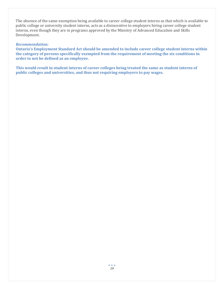The absence of the same exemption being available to career college student interns as that which is available to public college or university student interns, acts as a disincentive to employers hiring career college student interns, even though they are in programs approved by the Ministry of Advanced Education and Skills Development.

# *Recommendation:*

**Ontario's Employment Standard Act should be amended to include career college student interns within the category of persons specifically exempted from the requirement of meeting the six conditions in order to not be defined as an employee.**

**This would result in student interns of career colleges being treated the same as student interns of public colleges and universities, and thus not requiring employers to pay wages.**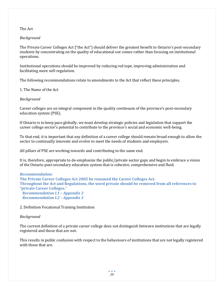# The Act

# *Background*

The Private Career Colleges Act ("the Act") should deliver the greatest benefit to Ontario's post-secondary students by concentrating on the quality of educational out comes rather than focusing on institutional operations.

Institutional operations should be improved by reducing red tape, improving administration and facilitating more self-regulation.

The following recommendations relate to amendments to the Act that reflect these principles.

1. The Name of the Act

*Background*

Career colleges are an integral component in the quality continuum of the province's post-secondary education system (PSE).

If Ontario is to keep pace globally, we must develop strategic policies and legislation that support the career college sector's potential to contribute to the province's social and economic well-being.

To that end, it is important that any definition of a career college should remain broad enough to allow the sector to continually innovate and evolve to meet the needs of students and employers.

All pillars of PSE are working towards and contributing to the same end.

It is, therefore, appropriate to de-emphasize the public/private sector gaps and begin to embrace a vision of the Ontario post-secondary education system that is cohesive, comprehensive and fluid.

*Recommendation:*

**The Private Career Colleges Act 2005 be renamed the Career Colleges Act. Throughout the Act and Regulations, the word private should be removed from all references to "private Career Colleges."**  *Recommendation I.1 – Appendix 3*

*Recommendation I.2 – Appendix 3*

2. Definition Vocational Training Institution

### *Background*

The current definition of a private career college does not distinguish between institutions that are legally registered and those that are not.

This results in public confusion with respect to the behaviours of institutions that are not legally registered with those that are.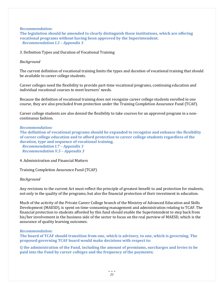*Recommendation:*

**The legislation should be amended to clearly distinguish those institutions, which are offering vocational programs without having been approved by the Superintendent.** *Recommendation I.3 – Appendix 3*

3. Definition Types and Duration of Vocational Training

### *Background*

The current definition of vocational training limits the types and duration of vocational training that should be available to career college students.

Career colleges need the flexibility to provide part-time vocational programs, continuing education and individual vocational courses to meet learners' needs.

Because the definition of vocational training does not recognize career college students enrolled in one course, they are also precluded from protection under the Training Completion Assurance Fund (TCAF).

Career college students are also denied the flexibility to take courses for an approved program in a noncontinuous fashion.

### *Recommendation:*

**The definition of vocational programs should be expanded to recognize and enhance the flexibility of career college education and to afford protection to career college students regardless of the duration, type and sequence of vocational training.**

*Recommendation I.7 – Appendix 3 Recommendation V.5 – Appendix 3*

4. Administration and Financial Matters

Training Completion Assurance Fund (TCAF)

# *Background*

Any revisions to the current Act must reflect the principle of greatest benefit to and protection for students, not only in the quality of the programs, but also the financial protection of their investment in education.

Much of the activity of the Private Career College branch of the Ministry of Advanced Education and Skills Development (MAESD), is spent on time-consuming management and administration relating to TCAF. The financial protection to students afforded by this fund should enable the Superintendent to step back from his/her involvement in the business side of the sector to focus on the real purview of MAESD, which is the assurance of quality learning outcomes.

### *Recommendation:*

**The board of TCAF should transition from one, which is advisory, to one, which is governing. The proposed governing TCAF board would make decisions with respect to:**

**i) the administration of the Fund, including the amount of premiums, surcharges and levies to be paid into the Fund by career colleges and the frequency of the payments;**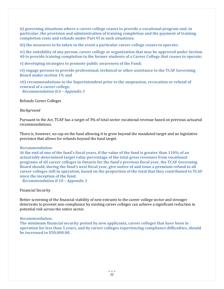**ii) governing situations where a career college ceases to provide a vocational program and, in particular, the provision and administration of training completion and the payment of training completion costs and refunds under Part VI in such situations;** 

**iii) the measures to be taken in the event a particular career college ceases to operate;** 

**iv) the suitability of any person, career college or organization that may be approved under Section 40 to provide training completion to the former students of a Career College that ceases to operate;** 

**v) developing strategies to promote public awareness of the Fund;** 

**vi) engage persons to provide professional, technical or other assistance to the TCAF Governing Board under section 19; and**

**vii) recommendations to the Superintendent prior to the suspension, revocation or refusal of renewal of a career college.** 

*Recommendation II.6 – Appendix 3*

Refunds Career Colleges

### *Background*

Pursuant to the Act, TCAF has a target of 3% of total sector vocational revenue based on previous actuarial recommendations.

There is, however, no cap on the fund allowing it to grow beyond the mandated target and no legislative provision that allows for refunds beyond the fund target.

### *Recommendation:*

**At the end of one of the fund's fiscal years, if the value of the fund is greater than 110% of an actuarially-determined target value percentage of the total gross revenues from vocational programs of all career colleges in Ontario for the fund's previous fiscal year, the TCAF Governing Board should, during the fund's next fiscal year, give notice of and issue a premium refund to all career colleges still in operation, based on the proportion of the total that they contributed to TCAF since the inception of the fund.** 

*Recommendation II.10 – Appendix 3*

### Financial Security

Better screening of the financial viability of new entrants to the career college sector and stronger deterrents to prevent non-compliance by existing career colleges can achieve a significant reduction in potential risk across the entire sector.

### *Recommendation:*

**The minimum financial security posted by new applicants, career colleges that have been in operation for less than 5 years, and by career colleges experiencing compliance difficulties, should be increased to \$50,000.00.**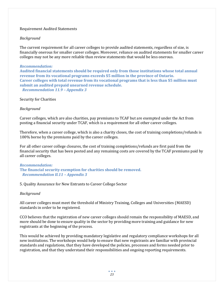### Requirement Audited Statements

# *Background*

The current requirement for all career colleges to provide audited statements, regardless of size, is financially onerous for smaller career colleges. Moreover, reliance on audited statements for smaller career colleges may not be any more reliable than review statements that would be less onerous.

### *Recommendation:*

**Audited financial statements should be required only from those institutions whose total annual revenue from its vocational programs exceeds \$5 million in the province of Ontario. Career colleges with total revenue from its vocational programs that is less than \$5 million must submit an audited prepaid unearned revenue schedule.** *Recommendation 11.9 – Appendix 3*

Security for Charities

# *Background*

Career colleges, which are also charities, pay premiums to TCAF but are exempted under the Act from posting a financial security under TCAF, which is a requirement for all other career colleges.

Therefore, when a career college, which is also a charity closes, the cost of training completions/refunds is 100% borne by the premiums paid by the career colleges.

For all other career college closures, the cost of training completions/refunds are first paid from the financial security that has been posted and any remaining costs are covered by the TCAF premiums paid by all career colleges.

### *Recommendation:*

**The financial security exemption for charities should be removed.** *Recommendation II.11 – Appendix 3*

5. Quality Assurance for New Entrants to Career College Sector

### *Background*

All career colleges must meet the threshold of Ministry Training, Colleges and Universities (MAESD) standards in order to be registered.

CCO believes that the registration of new career colleges should remain the responsibility of MAESD, and more should be done to ensure quality in the sector by providing more training and guidance for new registrants at the beginning of the process.

This would be achieved by providing mandatory legislative and regulatory compliance workshops for all new institutions. The workshops would help to ensure that new registrants are familiar with provincial standards and regulations, that they have developed the policies, processes and forms needed prior to registration, and that they understand their responsibilities and ongoing reporting requirements.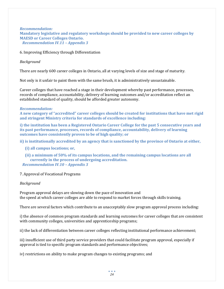*Recommendation:* **Mandatory legislative and regulatory workshops should be provided to new career colleges by MAESD or Career Colleges Ontario.** *Recommendation IV.11 – Appendix 3*

6. Improving Efficiency through Differentiation

*Background*

There are nearly 600 career colleges in Ontario, all at varying levels of size and stage of maturity.

Not only is it unfair to paint them with the same brush, it is administratively unsustainable.

Career colleges that have reached a stage in their development whereby past performance, processes, records of compliance, accountability, delivery of learning outcomes and/or accreditation reflect an established standard of quality, should be afforded greater autonomy.

### *Recommendation:*

**A new category of "accredited" career colleges should be created for institutions that have met rigid and stringent Ministry criteria for standards of excellence including:** 

**i) the institution has been a Registered Ontario Career College for the past 5 consecutive years and its past performance, processes, records of compliance, accountability, delivery of learning outcomes have consistently proven to be of high quality; or**

**ii) is institutionally accredited by an agency that is sanctioned by the province of Ontario at either,** 

- **(i) all campus locations; or,**
- **(ii) a minimum of 50% of its campus locations, and the remaining campus locations are all currently in the process of undergoing accreditation.**  *Recommendation IV.10 – Appendix 3*

# 7. Approval of Vocational Programs

### *Background*

Program approval delays are slowing down the pace of innovation and the speed at which career colleges are able to respond to market forces through skills training.

There are several factors which contribute to an unacceptably slow program approval process including:

i) the absence of common program standards and learning outcomes for career colleges that are consistent with community colleges, universities and apprenticeship programs;

ii) the lack of differentiation between career colleges reflecting institutional performance achievement;

iii) insufficient use of third party service providers that could facilitate program approval, especially if approval is tied to specific program standards and performance objectives;

iv) restrictions on ability to make program changes to existing programs; and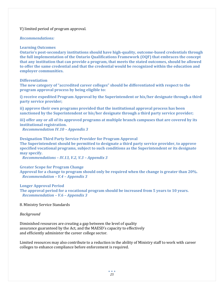V) limited period of program approval.

### *Recommendations:*

### **Learning Outcomes**

**Ontario's post-secondary institutions should have high-quality, outcome-based credentials through the full implementation of the Ontario Qualifications Framework (OQF) that embraces the concept that any institution that can provide a program, that meets the stated outcomes, should be allowed to offer the same credential and that the credential would be recognized within the education and employer communities.**

### **Differentiation**

**The new category of "accredited career colleges" should be differentiated with respect to the program approval process by being eligible to:**

**i) receive expedited Program Approval by the Superintendent or his/her designate through a third party service provider;** 

**ii) approve their own programs provided that the institutional approval process has been sanctioned by the Superintendent or his/her designate through a third party service provider;** 

**iii) offer any or all of its approved programs at multiple branch campuses that are covered by its institutional registration.**

*Recommendation IV.10 – Appendix 3*

### **Designation Third Party Service Provider for Program Approval**

**The Superintendent should be permitted to designate a third party service provider, to approve specified vocational programs, subject to such conditions as the Superintendent or its designate may specify.**

*Recommendations – IV.13, V.2, V.3 – Appendix 3*

### **Greater Scope for Program Change**

**Approval for a change to program should only be required when the change is greater than 20%.** *Recommendation – V.4 – Appendix 3*

### **Longer Approval Period**

**The approval period for a vocational program should be increased from 5 years to 10 years.** *Recommendation – V.6 – Appendix 3*

8. Ministry Service Standards

### *Background*

Diminished resources are creating a gap between the level of quality assurance guaranteed by the Act, and the MAESD's capacity to effectively and efficiently administer the career college sector.

Limited resources may also contribute to a reduction in the ability of Ministry staff to work with career colleges to enhance compliance before enforcement is required.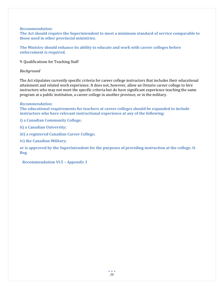### *Recommendation:*

**The Act should require the Superintendent to meet a minimum standard of service comparable to those used in other provincial ministries.** 

**The Ministry should enhance its ability to educate and work with career colleges before enforcement is required.**

9. Qualifications for Teaching Staff

### *Background*

The Act stipulates currently specific criteria for career college instructors that includes their educational attainment and related work experience. It does not, however, allow an Ontario career college to hire instructors who may not meet the specific criteria but do have significant experience teaching the same program at a public institution, a career college in another province, or in the military.

### *Recommendation:*

**The educational requirements for teachers at career colleges should be expanded to include instructors who have relevant instructional experience at any of the following:**

**i) a Canadian Community College;**

**ii) a Canadian University;**

**iii) a registered Canadian Career College;** 

**iv) the Canadian Military;** 

**or is approved by the Superintendent for the purposes of providing instruction at the college. O. Reg.** 

**Recommendation VI.5 –** *Appendix 3*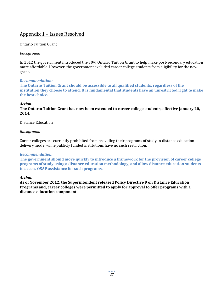# Appendix 1 – Issues Resolved

# Ontario Tuition Grant

# *Background*

In 2012 the government introduced the 30% Ontario Tuition Grant to help make post-secondary education more affordable. However, the government excluded career college students from eligibility for the new grant.

# *Recommendation:*

**The Ontario Tuition Grant should be accessible to all qualified students, regardless of the institution they choose to attend. It is fundamental that students have an unrestricted right to make the best choice.** 

# *Action:*

**The Ontario Tuition Grant has now been extended to career college students, effective January 20, 2014.**

# Distance Education

# *Background*

Career colleges are currently prohibited from providing their programs of study in distance education delivery mode, while publicly funded institutions have no such restriction.

# *Recommendation:*

**The government should move quickly to introduce a framework for the provision of career college programs of study using a distance education methodology, and allow distance education students to access OSAP assistance for such programs.** 

### *Action:*

**As of November 2012, the Superintendent released Policy Directive 9 on Distance Education Programs and, career colleges were permitted to apply for approval to offer programs with a distance education component.**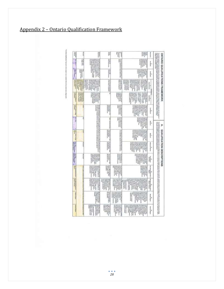|                                          | The Primary Communication of the Communication of the Communication of the Communication of the Communication<br>The Communication of the Communication of the Communication of the Communication of the Communication of the C<br>T<br>Edward Africans Market of Dealer | I                                                                | 胛<br>ł                                                                                                                                                                                                                                                                                                                                                                                                                                                                                                                                                                                                                                                                                                                                                                                                                                                                                                                                                                                                                                                                                                                   | $\overline{\phantom{a}}$<br>瑁                                                                                                                                                                                                                                                                                                                                                                                                                                                                                                                                                                                  | Ħ                                                                                                                                      | <b>Harriet Co</b>                                                                                                                                                                                                                                                                                                                                                                                                                                     |                                                                         | 1                                       |
|------------------------------------------|--------------------------------------------------------------------------------------------------------------------------------------------------------------------------------------------------------------------------------------------------------------------------|------------------------------------------------------------------|--------------------------------------------------------------------------------------------------------------------------------------------------------------------------------------------------------------------------------------------------------------------------------------------------------------------------------------------------------------------------------------------------------------------------------------------------------------------------------------------------------------------------------------------------------------------------------------------------------------------------------------------------------------------------------------------------------------------------------------------------------------------------------------------------------------------------------------------------------------------------------------------------------------------------------------------------------------------------------------------------------------------------------------------------------------------------------------------------------------------------|----------------------------------------------------------------------------------------------------------------------------------------------------------------------------------------------------------------------------------------------------------------------------------------------------------------------------------------------------------------------------------------------------------------------------------------------------------------------------------------------------------------------------------------------------------------------------------------------------------------|----------------------------------------------------------------------------------------------------------------------------------------|-------------------------------------------------------------------------------------------------------------------------------------------------------------------------------------------------------------------------------------------------------------------------------------------------------------------------------------------------------------------------------------------------------------------------------------------------------|-------------------------------------------------------------------------|-----------------------------------------|
|                                          |                                                                                                                                                                                                                                                                          | ŀ                                                                | <b>Marine</b><br><b>THEFT</b><br><b>The Second Property</b>                                                                                                                                                                                                                                                                                                                                                                                                                                                                                                                                                                                                                                                                                                                                                                                                                                                                                                                                                                                                                                                              |                                                                                                                                                                                                                                                                                                                                                                                                                                                                                                                                                                                                                | <b>Milled Montand</b><br>$\frac{1}{8}$                                                                                                 | the product of the Second Second Second<br>Analysis of the Second Second Second Second<br>Analysis of the Second Second Second<br><b>BETWEEN ARRANGEMENT</b><br>(400) 22-4 miles of tragers of indication<br>Eatward area of Write Canni College<br><b>Black of Davenum (2541) or</b><br>ALTI FRIDER ACCOMMONTATION<br>×                                                                                                                              | H<br>Ñ                                                                  |                                         |
|                                          |                                                                                                                                                                                                                                                                          | 01003010<br>w                                                    | on allow to make a<br><b>Prove control</b><br><b>A right in paint</b><br><b>The Second Service</b><br>H<br>Ĭ                                                                                                                                                                                                                                                                                                                                                                                                                                                                                                                                                                                                                                                                                                                                                                                                                                                                                                                                                                                                             | <b>Contract and Section In the Communistics of the Contract Contract Contract Contract Contract Contract Contract</b><br>  Contract Contract Contract Contract Contract Contract Contract Contract Contract Contract Contract Contract                                                                                                                                                                                                                                                                                                                                                                         | <b>William Property</b>                                                                                                                |                                                                                                                                                                                                                                                                                                                                                                                                                                                       |                                                                         | はほぼ                                     |
| <b>ONTARIO QUALIFICATIONS FRAMEINORK</b> |                                                                                                                                                                                                                                                                          | <b>The Second Contract of the American</b><br><b>Holtenstein</b> | <b>Think Contract</b><br>$\begin{tabular}{ c c } \hline \multicolumn{3}{ c }{\textbf{}} & \multicolumn{3}{ c }{\textbf{}} \\ \hline \multicolumn{3}{ c }{\textbf{}} & \multicolumn{3}{ c }{\textbf{}} \\ \hline \multicolumn{3}{ c }{\textbf{}} & \multicolumn{3}{ c }{\textbf{}} \\ \hline \multicolumn{3}{ c }{\textbf{}} & \multicolumn{3}{ c }{\textbf{}} \\ \hline \multicolumn{3}{ c }{\textbf{}} & \multicolumn{3}{ c }{\textbf{}} \\ \hline \multicolumn{3}{ c }{\textbf{}} & \multic$<br>prompted and states<br><b><i><u><i>COMMUNICATE</i></u></i></b><br><b>SECRET A TENNISSION</b><br><b>Branch</b><br>$\begin{tabular}{ c c } \hline & \multicolumn{3}{ c }{\multicolumn{3}{ c }{\multicolumn{3}{ c }{\multicolumn{3}{ c }{\multicolumn{3}{ c }{\multicolumn{3}{ c }{\multicolumn{3}{ c }{\multicolumn{3}{ c }{\multicolumn{3}{ c }{\multicolumn{3}{ c }{\multicolumn{3}{ c }{\multicolumn{3}{ c }{\multicolumn{3}{ c }{\multicolumn{3}{ c }{\multicolumn{3}{ c }{\multicolumn{3}{ c }{\multicolumn{3}{ c }{\multicolumn{3}{ c }{\multicolumn{3$<br>Highway Hardway<br><b>MAY ASSESSED</b><br><b>NUMBER</b> |                                                                                                                                                                                                                                                                                                                                                                                                                                                                                                                                                                                                                | vocabilità il spita rel co-                                                                                                            | <b>Film</b><br><b>Handoon Property</b><br>precipit see Appropriate<br><b><i><u>Sales business</u></i></b><br><b>WHAT'S WATER</b>                                                                                                                                                                                                                                                                                                                      | <b>World be no fifteen</b><br><b>The Contract</b><br>Arrangement Homely | of the age of the company               |
|                                          |                                                                                                                                                                                                                                                                          |                                                                  | <b>HARRY CORPORATION</b><br>THE R. P. LEWIS CO., LANSING<br>language or subset<br>A hannot is a building to be<br>at requirement partners.<br>of state and or<br>9 Hotel II happen<br>N paid, bits, V gars<br><b>UNANTER A RESEARC</b><br><b>Service Control</b><br><b>The Contract Contract Contract</b><br>International contemporary<br>ag order matthy                                                                                                                                                                                                                                                                                                                                                                                                                                                                                                                                                                                                                                                                                                                                                               | <b><i><u>Property</u></i></b>                                                                                                                                                                                                                                                                                                                                                                                                                                                                                                                                                                                  | ť                                                                                                                                      | <b>LOSSON CHARGE</b><br><b>NAMES &amp;</b><br>at newposition                                                                                                                                                                                                                                                                                                                                                                                          | www.name<br>I                                                           | A design of the light                   |
|                                          |                                                                                                                                                                                                                                                                          | ļ.                                                               | <b>PLANSHOW REPORT</b><br><b>Building West &amp; Streets</b><br>an decem taxe<br>senior Kolorea tempora<br><b>THEFT SHOW</b><br><b>Walter &amp; Williams</b><br>4 a create a service<br>and a region<br>we are and a restate as<br>2 Feb 24 Street                                                                                                                                                                                                                                                                                                                                                                                                                                                                                                                                                                                                                                                                                                                                                                                                                                                                       |                                                                                                                                                                                                                                                                                                                                                                                                                                                                                                                                                                                                                |                                                                                                                                        | $\frac{1}{2}$ , $\frac{1}{2}$ , $\frac{1}{2}$ , and $\frac{1}{2}$ , and $\frac{1}{2}$ , and $\frac{1}{2}$ , and $\frac{1}{2}$ , and $\frac{1}{2}$ , and $\frac{1}{2}$ , and $\frac{1}{2}$ , and $\frac{1}{2}$ , and $\frac{1}{2}$ , and $\frac{1}{2}$ , and $\frac{1}{2}$ , and $\frac{1$<br>ļ                                                                                                                                                        |                                                                         | <b>Weekly</b><br><b>STATE ENGINEERS</b> |
| P                                        |                                                                                                                                                                                                                                                                          | ŀ                                                                | Product of the series of<br>put contrainers<br><b>Weighted</b><br>$\frac{1}{2} \left( \frac{1}{2} \frac{1}{2} \right) = \frac{1}{2} \left( \frac{1}{2} \right)$<br>į<br>HOMAGNETICH<br>And in this or when the                                                                                                                                                                                                                                                                                                                                                                                                                                                                                                                                                                                                                                                                                                                                                                                                                                                                                                           | $\begin{tabular}{ c c } \hline $1000$ & $1000$ \\ \hline $1000$ & $1000$ & $1000$ \\ \hline $1000$ & $10000$ & $1000$ \\ \hline \end{tabular}$                                                                                                                                                                                                                                                                                                                                                                                                                                                                 | <b>MAZINIVPAY LIMI</b>                                                                                                                 |                                                                                                                                                                                                                                                                                                                                                                                                                                                       | n                                                                       | Ī<br>Ë                                  |
| QUALIFICATION DESCRIPTIONS               |                                                                                                                                                                                                                                                                          | ingan                                                            | <b><i>CAMPARTS</i></b><br><b>Angles</b><br><b>HONOGRAPH</b><br>manue is now por<br>an theirs were<br><b>PERSONAL REPORT</b><br><b>HAMMADIA</b>                                                                                                                                                                                                                                                                                                                                                                                                                                                                                                                                                                                                                                                                                                                                                                                                                                                                                                                                                                           | and demonstrated and contact and con-                                                                                                                                                                                                                                                                                                                                                                                                                                                                                                                                                                          |                                                                                                                                        |                                                                                                                                                                                                                                                                                                                                                                                                                                                       | g                                                                       | <b>Service</b><br>I                     |
|                                          |                                                                                                                                                                                                                                                                          | <b>WANTED STATES</b><br>×                                        | <b>Harrison</b><br><b>THE RUBBERS</b><br>Internet in the Manager<br>Individual and the<br><b>Home Property</b>                                                                                                                                                                                                                                                                                                                                                                                                                                                                                                                                                                                                                                                                                                                                                                                                                                                                                                                                                                                                           | X)                                                                                                                                                                                                                                                                                                                                                                                                                                                                                                                                                                                                             | <b>The County</b><br>ī                                                                                                                 |                                                                                                                                                                                                                                                                                                                                                                                                                                                       | percent                                                                 | 群中                                      |
|                                          |                                                                                                                                                                                                                                                                          | ij.                                                              | Parkastan park<br>(Pinkawab terim)<br><b>The party and the project</b>                                                                                                                                                                                                                                                                                                                                                                                                                                                                                                                                                                                                                                                                                                                                                                                                                                                                                                                                                                                                                                                   | 112700-003-0022                                                                                                                                                                                                                                                                                                                                                                                                                                                                                                                                                                                                | <b>Tarried</b><br>ş                                                                                                                    | $\begin{tabular}{ c c } \hline \multicolumn{3}{ c }{\textbf{1}} & \multicolumn{3}{ c }{\textbf{2}} \\ \multicolumn{3}{ c }{\textbf{3}} & \multicolumn{3}{ c }{\textbf{4}} & \multicolumn{3}{ c }{\textbf{5}} \\ \multicolumn{3}{ c }{\textbf{5}} & \multicolumn{3}{ c }{\textbf{6}} & \multicolumn{3}{ c }{\textbf{6}} \\ \multicolumn{3}{ c }{\textbf{6}} & \multicolumn{3}{ c }{\textbf{6}} & \multicolumn{3}{ c }{\textbf{6}} \\ \multicolumn{3}{$ | 0002036                                                                 | I                                       |
|                                          |                                                                                                                                                                                                                                                                          | $\frac{1}{2}$<br>Ĭ                                               | $\begin{minipage}{0.9\linewidth} \centering \begin{tabular}{ c c c } \hline \textbf{0.1} & \textbf{0.1} & \textbf{0.1} & \textbf{0.1} & \textbf{0.1} & \textbf{0.1} & \textbf{0.1} & \textbf{0.1} & \textbf{0.1} & \textbf{0.1} & \textbf{0.1} & \textbf{0.1} & \textbf{0.1} & \textbf{0.1} & \textbf{0.1} & \textbf{0.1} & \textbf{0.1} & \textbf{0.1} & \textbf{0.1} & \textbf{0.1} & \textbf{0.1$<br>competitive and the competitive<br>and of the contract of the                                                                                                                                                                                                                                                                                                                                                                                                                                                                                                                                                                                                                                                    | I<br><b>Separation sees as</b>                                                                                                                                                                                                                                                                                                                                                                                                                                                                                                                                                                                 | <b>School School</b><br>Additional School<br>i<br>I                                                                                    | www.nastur<br><b>THE PARTIES OF STATES</b><br>and distances of and a<br><b>MARKAGER PUMP</b><br>or resume a sound<br><b>Printer</b>                                                                                                                                                                                                                                                                                                                   | <b>Bandary</b>                                                          | ï<br><b>Home Services</b>               |
|                                          |                                                                                                                                                                                                                                                                          | Steammer (WSHIP) 61<br>comes milled<br>ä                         | Lovenin Ha Mike King<br>O Annie Light (PD) The<br>Are Howroca crops and<br>anternation of investment<br>interest included before the<br>attribut raise totalest<br><b>WERE SCHOOL REVENUE</b><br><b>UNITED STATES</b><br>It strayed rates<br>Green Secrets<br>advertisers and develop<br>î<br><b>With Rightsler</b><br><b>Baltimore of Artists and</b><br><b>Summer or procedure</b><br>a war yaptık issayı<br>passed multi-<br><b>START ROOM AND</b><br>states applied marsily<br>temporarile print                                                                                                                                                                                                                                                                                                                                                                                                                                                                                                                                                                                                                     | $\begin{array}{l} \hbox{In a case,}\\ \hbox{in a case,}\\ \hbox{in a case,}\\ \hbox{in a case,}\\ \hbox{in a case,}\\ \hbox{in a case,}\\ \hbox{in a case,}\\ \hbox{in a case,}\\ \hbox{in a case,}\\ \hbox{in a case,}\\ \hbox{in a case,}\\ \hbox{in a case,}\\ \hbox{in a case,}\\ \hbox{in a case,}\\ \hbox{in a case,}\\ \hbox{in a case,}\\ \hbox{in a case,}\\ \hbox{in a case,}\\ \hbox{in a case,}\\ \hbox{in a case,}\\ \hbox{in a case,}\\ \hbox{in a case,}\\ \hbox{in a case,}\\ \hbox{in a$<br><b>MAILPROVER</b><br>Hampton C. Collection Inc.<br>2. S. Silvers, Maria 2014<br>MITTER IN 1997 IS | į<br>at his transmitter<br><b>The Second Services</b><br><b>EXCEVATION photograph</b><br>extents in policies<br><b>REAGED AND REAL</b> | <b><i><i><u><b></b></u></i> <u>Alta del Calcio del</u> Calcio</i> del Calcio del Calcio del Calcio del Calcio del Calcio del Calcio del Calcio del Calcio del Calcio del Calcio del Calcio del Calcio del Calcio del Calcio del Calcio del Calcio del </b><br>same months<br><b><i>A young company</i></b><br>of present in building<br>a kipina                                                                                                      |                                                                         | <b>Contractor</b>                       |
|                                          |                                                                                                                                                                                                                                                                          | might contain<br>à                                               | <b>TRANSPORT</b><br><b>Wales Corp. 2007004</b><br><b><i>Property and the internal</i></b><br>Real column<br>process community<br>and managements<br>management and<br>į<br><b>PERMITTEN</b>                                                                                                                                                                                                                                                                                                                                                                                                                                                                                                                                                                                                                                                                                                                                                                                                                                                                                                                              | monted keydis: some<br><b>JAN HARVITTI</b><br>measured by Lincolne<br><b>Bankinghia</b><br>THE GROUP OF A RANGE<br><b>Well-Market and Contract</b><br><b>BURNER SEEMBLOW!</b><br>players but it work opening                                                                                                                                                                                                                                                                                                                                                                                                   |                                                                                                                                        | <b>Continued</b>                                                                                                                                                                                                                                                                                                                                                                                                                                      |                                                                         | million seems.                          |
|                                          |                                                                                                                                                                                                                                                                          | and by present<br>p                                              | Telesco scanni e<br><b>Highland And Art</b><br>Silver and the American<br><b>The Secret Secret Secret Secret Secret Secret Secret Secret Secret Secret Secret Secret Secret Secret Secret Secret Secret Secret Secret Secret Secret Secret Secret Secret Secret Secret Secret Secret Secret Secret Secret </b><br><b>SERVICE TAN</b><br><b>Noticed paintends into</b><br>stone agents<br>substituted, are additional<br>anti-aggregation of being and<br><b><i>STANDSHOOTS</i></b><br><b>Total Monetal</b><br>ĭ<br>went are executed                                                                                                                                                                                                                                                                                                                                                                                                                                                                                                                                                                                     | <b>Western Burger</b><br><b>Seat Roard ALL LEWARDS</b><br>Bookley 244 plants to                                                                                                                                                                                                                                                                                                                                                                                                                                                                                                                                |                                                                                                                                        | I<br>understanding forces<br>term should receive<br>terris class<br>用出出                                                                                                                                                                                                                                                                                                                                                                               | Ì                                                                       | <b><i><u>International</u></i></b>      |

# Appendix 2 – Ontario Qualification Framework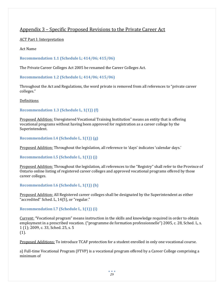# Appendix 3 – Specific Proposed Revisions to the Private Career Act

ACT Part I: Interpretation

Act Name

**Recommendation 1.1 (Schedule L; 414/06; 415/06)** 

The Private Career Colleges Act 2005 be renamed the Career Colleges Act.

**Recommendation 1.2 (Schedule L; 414/06; 415/06)** 

Throughout the Act and Regulations, the word private is removed from all references to "private career colleges."

Definitions

# **Recommendation 1.3 (Schedule L, 1(1)) (f)**

Proposed Addition: Unregistered Vocational Training Institution" means an entity that is offering vocational programs without having been approved for registration as a career college by the Superintendent.

**Recommendation I.4 (Schedule L, 1(1)) (g)** 

Proposed Addition: Throughout the legislation, all reference to 'days' indicates 'calendar days.'

**Recommendation I.5 (Schedule L, 1(1)) (j)** 

Proposed Addition: Throughout the legislation, all references to the "Registry" shall refer to the Province of Ontario online listing of registered career colleges and approved vocational programs offered by those career colleges.

**Recommendation I.6 (Schedule L, 1(1)) (h)** 

Proposed Addition: All Registered career colleges shall be designated by the Superintendent as either "accredited" Sched. L, 14(5), or "regular."

**Recommendation I.7 (Schedule L, 1(1)) (i)** 

Current: "Vocational program" means instruction in the skills and knowledge required in order to obtain employment in a prescribed vocation. ("programme de formation professionnelle") 2005, c. 28, Sched. L, s. 1 (1); 2009, c. 33, Sched. 25, s. 5 (1).

Proposed Additions: To introduce TCAF protection for a student enrolled in only one vocational course.

a) Full-time Vocational Program (FTVP) is a vocational program offered by a Career College comprising a minimum of

> $\bullet$   $\bullet$   $\bullet$ *29*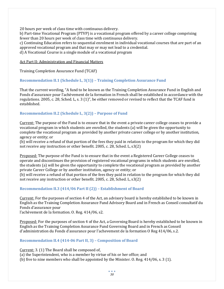20 hours per week of class time with continuous delivery.

b) Part-time Vocational Program (PTVP) is a vocational program offered by a career college comprising fewer than 20 hours per week of class time with continuous delivery.

c) Continuing Education refers to sequential enrolment in individual vocational courses that are part of an approved vocational program and that may or may not lead to a credential.

d) A Vocational Course is a single module of a vocational program

Act Part II: Administration and Financial Matters

Training Completion Assurance Fund (TCAF)

# **Recommendation II.1 (Schedule L, 3(1)) – Training Completion Assurance Fund**

That the current wording, "A fund to be known as the Training Completion Assurance Fund in English and Fonds d'assurance pour l'achèvement de la formation in French shall be established in accordance with the regulations. 2005, c. 28, Sched. L, s. 3 (1)", be either removed or revised to reflect that the TCAF fund is established.

# **Recommendation II.2 (Schedule L, 3(2)) – Purpose of Fund**

Current: The purpose of the Fund is to ensure that in the event a private career college ceases to provide a vocational program in which students are enrolled, the students (a) will be given the opportunity to complete the vocational program as provided by another private career college or by another institution, agency or entity; or

(b) will receive a refund of that portion of the fees they paid in relation to the program for which they did not receive any instruction or other benefit. 2005, c. 28, Sched. L, s3(2)

Proposed: The purpose of the Fund is to ensure that in the event a Registered Career College ceases to operate and discontinues the provision of registered vocational programs in which students are enrolled, the students (a) will be given the opportunity to complete the vocational program as provided by another private Career College or by another institution, agency or entity; or

(b) will receive a refund of that portion of the fees they paid in relation to the program for which they did not receive any instruction or other benefit. 2005, c. 28, Sched. L, s3(2)

### **Recommendation II.3 (414/06 Part II (2)) – Establishment of Board**

Current: For the purposes of section 4 of the Act, an advisory board is hereby established to be known in English as the Training Completion Assurance Fund Advisory Board and in French as Conseil consultatif du Fonds d'assurance pour

l'achèvement de la formation. O. Reg. 414/06, s2.

Proposed: For the purposes of section 4 of the Act, a Governing Board is hereby established to be known in English as the Training Completion Assurance Fund Governing Board and in French as Conseil d'administration du Fonds d'assurance pour l'achevement de la formation O Reg 414/06, s.2.

### **Recommendation II.4 (414-06 Part II, 3) – Composition of Board**

Current: 3. (1) The Board shall be composed of,

(a) the Superintendent, who is a member by virtue of his or her office; and

(b) five to nine members who shall be appointed by the Minister. O. Reg. 414/06, s. 3 (1).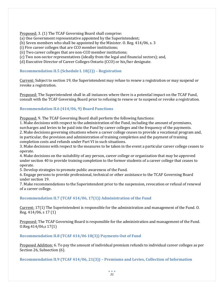Proposed: 3. (1) The TCAF Governing Board shall comprise:

(a) One Government representative appointed by the Superintendent;

(b) Seven members who shall be appointed by the Minister. O. Reg. 414/06, s. 3

(i) Five career colleges that are CCO member institutions;

(ii) Two career colleges that are non-CCO member institutions;

(c) Two non-sector representatives (ideally from the legal and financial sectors); and,

(d) Executive Director of Career Colleges Ontario (CCO) or his/her designate.

# **Recommendation II.5 (Schedule L 18(2)) – Registration**

Current: Subject to section 19, the Superintendent may refuse to renew a registration or may suspend or revoke a registration.

Proposed: The Superintendent shall in all instances where there is a potential impact on the TCAF Fund, consult with the TCAF Governing Board prior to refusing to renew or to suspend or revoke a registration.

# **Recommendation II.6 (414/06, 9) Board Functions**

Proposed: 9. The TCAF Governing Board shall perform the following functions:

1. Make decisions with respect to the administration of the Fund, including the amount of premiums, surcharges and levies to be paid into the Fund by career colleges and the frequency of the payments. 2. Make decisions governing situations where a career college ceases to provide a vocational program and,

in particular, the provision and administration of training completion and the payment of training completion costs and refunds under Part VI in such situations.

3. Make decisions with respect to the measures to be taken in the event a particular career college ceases to operate.

4. Make decisions on the suitability of any person, career college or organization that may be approved under section 40 to provide training completion to the former students of a career college that ceases to operate.

5. Develop strategies to promote public awareness of the Fund.

6. Engage persons to provide professional, technical or other assistance to the TCAF Governing Board under section 19.

7. Make recommendations to the Superintendent prior to the suspension, revocation or refusal of renewal of a career college.

# **Recommendation II.7 (TCAF 414/06, 17(1)) Administration of the Fund**

Current: 17(1) The Superintendent is responsible for the administration and management of the Fund. O. Reg. 414/06, s 17 (1)

Proposed: The TCAF Governing Board is responsible for the administration and management of the Fund. O.Reg.414/06,s 17(1)

# **Recommendation II.8 (TCAF 414/06 18(3)) Payments Out of Fund**

Proposed Addition: 6. To pay the amount of individual premium refunds to individual career colleges as per Section 26, Subsection (6).

**Recommendation II.9 (TCAF 414/06, 21(3)) – Premiums and Levies, Collection of Information**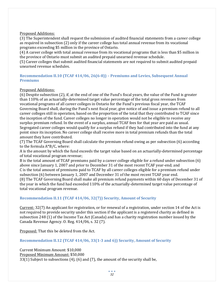# Proposed Additions:

(3) The Superintendent shall request the submission of audited financial statements from a career college as required in subsection (2) only if the career college has total annual revenue from its vocational programs exceeding \$5 million in the province of Ontario.

(4) A career college with total annual revenue from its vocational programs that is less than \$5 million in the province of Ontario must submit an audited prepaid unearned revenue schedule.

(5) Career colleges that submit audited financial statements are not required to submit audited prepaid unearned revenue schedules.

# **Recommendation II.10 (TCAF 414/06, 26(6-8)) – Premiums and Levies, Subsequent Annual Premiums**

# Proposed Additions:

(6) Despite subsection (2), if, at the end of one of the Fund's fiscal years, the value of the Fund is greater than 110% of an actuarially-determined target value percentage of the total gross revenues from vocational programs of all career colleges in Ontario for the Fund's previous fiscal year, the TCAF Governing Board shall, during the Fund's next fiscal year, give notice of and issue a premium refund to all career colleges still in operation, based on the proportion of the total that they contributed to TCAF since the inception of the fund. Career colleges no longer in operation would not be eligible to receive any surplus premium refund. In the event of a surplus, annual TCAF fees for that year are paid as usual. Segregated career colleges would qualify for a surplus refund if they had contributed into the fund at any point since its inception. No career college shall receive more in total premium refunds than the total amount they have contributed.

(7) The TCAF Governing Board shall calculate the premium refund owing as per subsection (6) according to the formula A\*B/C, where:

A is the amount by which the fund exceeds the target value based on an actuarially-determined percentage of total vocational program revenue;

B is the total amount of TCAF premiums paid by a career college eligible for a refund under subsection (6) above since January 1, 2007 and prior to December 31 of the most recent TCAF year-end; and C is the total amount of premiums paid to TCAF by all career colleges eligible for a premium refund under subsection (6) between January 1, 2007 and December 31 of the most recent TCAF year end. (8) The TCAF Governing Board shall make all premium refund payments within 60 days of December 31 of the year in which the fund had exceeded 110% of the actuarially-determined target value percentage of total vocational program revenue.

# **Recommendation II.11 (TCAF 414/06, 32(7)) Security, Amount of Security**

Current: 32(7) An applicant for registration, or for renewal of a registration, under section 14 of the Act is not required to provide security under this section if the applicant is a registered charity as defined in subsection 248 (1) of the Income Tax Act (Canada) and has a charity registration number issued by the Canada Revenue Agency. O. Reg. 414/06, s. 32 (7).

Proposed: That this be deleted from the Act.

### **Recommendation II.12 (TCAF 414/06, 33(1-3 and 6)) Security, Amount of Security**

Current Minimum Amount: \$10,000 Proposed Minimum Amount: \$50,000 33(1) Subject to subsections (4), (6) and (7), the amount of the security shall be,

> $\bullet$   $\bullet$   $\bullet$ *32*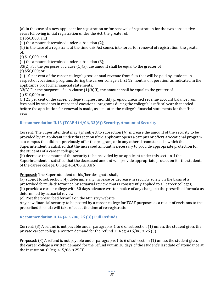(a) in the case of a new applicant for registration or for renewal of registration for the two consecutive years following initial registration under the Act, the greater of,

(i) \$50,000, and

(ii) the amount determined under subsection (2);

(b) in the case of a registrant at the time this Act comes into force, for renewal of registration, the greater of,

(i) \$10,000, and

(ii) the amount determined under subsection (3);

 $33(2)$  For the purposes of clause  $(1)(a)$ , the amount shall be equal to the greater of (i) \$50,000; or

(ii) 10 per cent of the career college's gross annual revenue from fees that will be paid by students in respect of vocational programs during the career college's first 12 months of operation, as indicated in the applicant's pro forma financial statements.

33(3) For the purposes of sub-clause  $(1)(b)(i)$ , the amount shall be equal to the greater of (i) \$10,000; or

(ii) 25 per cent of the career college's highest monthly prepaid unearned revenue account balance from fees paid by students in respect of vocational programs during the college's last fiscal year that ended before the application for renewal is made, as set out in the college's financial statements for that fiscal year.

# **Recommendation II.13 (TCAF 414/06, 33(6)) Security, Amount of Security**

Current: The Superintendent may, (a) subject to subsection (4), increase the amount of the security to be provided by an applicant under this section if the applicant opens a campus or offers a vocational program at a campus that did not previously offer the program, or in any other circumstance in which the Superintendent is satisfied that the increased amount is necessary to provide appropriate protection for the students of a career college; or,

(b) decrease the amount of the security to be provided by an applicant under this section if the Superintendent is satisfied that the decreased amount will provide appropriate protection for the students of the career college. O. Reg. 414/06, s. 33(6)

Proposed: The Superintendent or his/her designate shall,

(a) subject to subsection (4), determine any increase or decrease in security solely on the basis of a prescribed formula determined by actuarial review, that is consistently applied to all career colleges; (b) provide a career college with 60 days advance written notice of any change to the prescribed formula as determined by actuarial review;

(c) Post the prescribed formula on the Ministry website.

Any new financial security to be posted by a career college for TCAF purposes as a result of revisions to the prescribed formula will take effect at the time of re-registration.

# **Recommendation II.14 (415/06; 25 (3)) Full Refunds**

Current: (3) A refund is not payable under paragraphs 1 to 6 of subsection (1) unless the student gives the private career college a written demand for the refund. O. Reg. 415/06, s. 25 (3).

Proposed: (3) A refund is not payable under paragraphs 1 to 6 of subsection (1) unless the student gives the career college a written demand for the refund within 30 days of the student's last date of attendance at the institution. O.Reg. 415/06, s.25(3)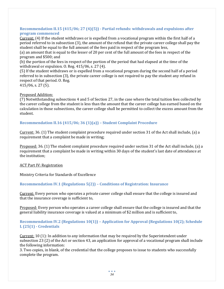# **Recommendation II.15 (415/06; 27 (4)(5)) - Partial refunds: withdrawals and expulsions after program commenced**

Current: (4) If the student withdraws or is expelled from a vocational program within the first half of a period referred to in subsection (3), the amount of the refund that the private career college shall pay the student shall be equal to the full amount of the fees paid in respect of the program less,

(a) an amount that is equal to the lesser of 20 per cent of the full amount of the fees in respect of the program and \$500; and

(b) the portion of the fees in respect of the portion of the period that had elapsed at the time of the withdrawal or expulsion. O. Reg. 415/06, s. 27 (4).

(5) If the student withdraws or is expelled from a vocational program during the second half of a period referred to in subsection (3), the private career college is not required to pay the student any refund in respect of that period. O. Reg. 415/06, s. 27 (5).

# Proposed Addition:

(7) Notwithstanding subsections 4 and 5 of Section 27, in the case where the total tuition fees collected by the career college from the student is less than the amount that the career college has earned based on the calculation in those subsections, the career college shall be permitted to collect the excess amount from the student.

# **Recommendation II.16 (415/06; 36 (1)(a)) – Student Complaint Procedure**

Current: 36. (1) The student complaint procedure required under section 31 of the Act shall include, (a) a requirement that a complaint be made in writing;

Proposed: 36. (1) The student complaint procedure required under section 31 of the Act shall include, (a) a requirement that a complaint be made in writing within 30 days of the student's last date of attendance at the institution;

### ACT Part IV: Registration

Ministry Criteria for Standards of Excellence

# **Recommendation IV.1 (Regulations 5(2)) – Conditions of Registration: Insurance**

Current: Every person who operates a private career college shall ensure that the college is insured and that the insurance coverage is sufficient to,

Proposed: Every person who operates a career college shall ensure that the college is insured and that the general liability insurance coverage is valued at a minimum of \$2 million and is sufficient to,

# **Recommendation IV.2 (Regulations 10(1)) – Application for Approval (Regulations 10(2); Schedule L (25(1) - Credentials**

Current: 10 (1): In addition to any information that may be required by the Superintendent under subsection 23 (2) of the Act or section 43, an application for approval of a vocational program shall include the following information:

3. Two copies, in blank, of the credential that the college proposes to issue to students who successfully complete the program.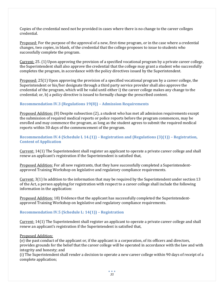Copies of the credential need not be provided in cases where there is no change to the career colleges credential.

Proposed: For the purpose of the approval of a new, first-time program, or in the case where a credential changes, two copies, in blank, of the credential that the college proposes to issue to students who successfully complete the program.

Current: 25. (1) Upon approving the provision of a specified vocational program by a private career college, the Superintendent shall also approve the credential that the college may grant a student who successfully completes the program, in accordance with the policy directives issued by the Superintendent.

Proposed: 25(1) Upon approving the provision of a specified vocational program by a career college, the Superintendent or his/her designate through a third party service provider shall also approve the credential of the program, which will be valid until either i) the career college makes any change to the credential; or, b) a policy directive is issued to formally change the prescribed content.

# **Recommendation IV.3 (Regulations 19(8)) – Admission Requirements**

Proposed Addition: (8) Despite subsection (2), a student who has met all admission requirements except the submission of required medical reports or police reports before the program commences, may be enrolled and may commence the program, as long as the student agrees to submit the required medical reports within 30 days of the commencement of the program.

**Recommendation IV.4 (Schedule L 14.(1)) – Registration and (Regulations (3)(1)) – Registration, Content of Application** 

Current: 14(1) The Superintendent shall register an applicant to operate a private career college and shall renew an applicant's registration if the Superintendent is satisfied that,

Proposed Addition: For all new registrants, that they have successfully completed a Superintendentapproved Training Workshop on legislative and regulatory compliance requirements.

Current: 3(1) In addition to the information that may be required by the Superintendent under section 13 of the Act, a person applying for registration with respect to a career college shall include the following information in the application:

Proposed Addition: 18) Evidence that the applicant has successfully completed the Superintendentapproved Training Workshop on legislative and regulatory compliance requirements.

### **Recommendation IV.5 (Schedule L: 14(1)) – Registration**

Current: 14(1) The Superintendent shall register an applicant to operate a private career college and shall renew an applicant's registration if the Superintendent is satisfied that,

### Proposed Addition:

(e) the past conduct of the applicant or, if the applicant is a corporation, of its officers and directors, provides grounds for the belief that the career college will be operated in accordance with the law and with integrity and honesty; and

(i) The Superintendent shall render a decision to operate a new career college within 90 days of receipt of a complete application;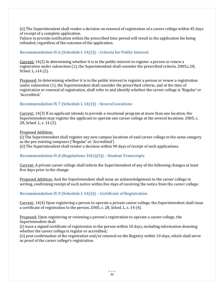(ii) The Superintendent shall render a decision on renewal of registration of a career college within 45 days of receipt of a complete application.

Failure to provide notification within the prescribed time period will result in the application fee being refunded, regardless of the outcome of the application.

# **Recommendation IV.6 (Schedule L 14(2)) – Criteria for Public Interest**

Current: 14(2) In determining whether it is in the public interest to register a person or renew a registration under subsection (1), the Superintendent shall consider the prescribed criteria. 2005,c.28, Sched. L, s14 (2).

Proposed: In determining whether it is in the public interest to register a person or renew a registration under subsection (1), the Superintendent shall consider the prescribed criteria, and at the time of registration or renewal of registration, shall refer to and identify whether the career college is 'Regular' or 'Accredited.'

# **Recommendation IV.7 (Schedule L 14(3)) – Several Locations**

Current: 14(3) If an applicant intends to provide a vocational program at more than one location, the Superintendent may register the applicant to operate one career college at the several locations. 2005, c. 28, Sched. L, s. 14 (3).

Proposed Addition:

(i) The Superintendent shall register any new campus locations of said career college in the same category as the pre-existing campuses ('Regular' or 'Accredited')

(ii) The Superintendent shall render a decision within 90 days of receipt of such applications.

# **Recommendation IV.8 (Regulations 34(1)(5)) – Student Transcripts**

Current: A private career college shall inform the Superintendent of any of the following changes at least five days prior to the change.

Proposed Addition: And the Superintendent shall issue an acknowledgement to the career college in writing, confirming receipt of such notice within five days of receiving the notice from the career college.

### **Recommendation IV.9 (Schedule L 14(4)) – Certificate of Registration**

Current: 14(4) Upon registering a person to operate a private career college, the Superintendent shall issue a certificate of registration to the person. 2005, c. 28, Sched. L, s. 14 (4).

Proposed: Upon registering or renewing a person's registration to operate a career college, the Superintendent shall

(i) issue a signed certificate of registration to the person within 10 days, including information denoting whether the career college is regular or accredited;

(ii) post confirmation of the registration and/or renewal on the Registry within 10 days, which shall serve as proof of the career college's registration.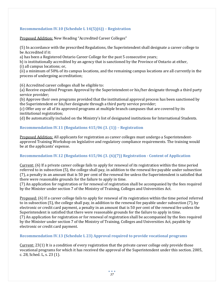# **Recommendation IV.10 (Schedule L 14(5)(6)) – Registration**

Proposed Addition: New Heading "Accredited Career Colleges"

(5) In accordance with the prescribed Regulations, the Superintendent shall designate a career college to be Accredited if it:

a) has been a Registered Ontario Career College for the past 5 consecutive years;

b) is institutionally accredited by an agency that is sanctioned by the Province of Ontario at either, (i) all campus locations; or,

(ii) a minimum of 50% of its campus locations, and the remaining campus locations are all currently in the process of undergoing accreditation;

(6) Accredited career colleges shall be eligible to:

(a) Receive expedited Program Approval by the Superintendent or his/her designate through a third party service provider;

(b) Approve their own programs provided that the institutional approval process has been sanctioned by the Superintendent or his/her designate through a third party service provider;

(c) Offer any or all of its approved programs at multiple branch campuses that are covered by its institutional registration;

(d) Be automatically included on the Ministry's list of designated institutions for International Students.

# **Recommendation IV.11 (Regulations 415/06 (3. (1)) – Registration**

Proposed Addition: All applicants for registration as career colleges must undergo a Superintendentapproved Training Workshop on legislative and regulatory compliance requirements. The training would be at the applicants' expense.

# **Recommendation IV.12 (Regulations 415/06 (3. (6)(7)) Registration - Content of Application**

Current: (6) If a private career college fails to apply for renewal of its registration within the time period referred to in subsection (5), the college shall pay, in addition to the renewal fee payable under subsection (7), a penalty in an amount that is 50 per cent of the renewal fee unless the Superintendent is satisfied that there were reasonable grounds for the failure to apply in time.

(7) An application for registration or for renewal of registration shall be accompanied by the fees required by the Minister under section 7 of the Ministry of Training, Colleges and Universities Act.

Proposed: (6) If a career college fails to apply for renewal of its registration within the time period referred to in subsection (5), the college shall pay, in addition to the renewal fee payable under subsection (7), by electronic or credit card payment, a penalty in an amount that is 50 per cent of the renewal fee unless the Superintendent is satisfied that there were reasonable grounds for the failure to apply in time. (7) An application for registration or for renewal of registration shall be accompanied by the fees required by the Minister under section 7 of the Ministry of Training, Colleges and Universities Act, payable by electronic or credit card payment.

# **Recommendation IV.13 (Schedule L 23) Approval required to provide vocational programs**

Current: 23(1) It is a condition of every registration that the private career college only provide those vocational programs for which it has received the approval of the Superintendent under this section. 2005, c. 28, Sched. L, s. 23 (1).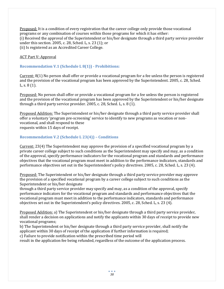Proposed: It is a condition of every registration that the career college only provide those vocational programs or any combination of courses within those programs for which it has either: (i) Received the approval of the Superintendent or his/her designate through a third party service provider under this section. 2005, c. 28, Sched. L, s. 23 (1); or (ii) Is registered as an Accredited Career College.

### ACT Part V: Approval

# **Recommendation V.1 (Schedule L 8(1)) - Prohibitions:**

Current: 8(1) No person shall offer or provide a vocational program for a fee unless the person is registered and the provision of the vocational program has been approved by the Superintendent. 2005, c. 28, Sched. L, s. 8 (1).

Proposed: No person shall offer or provide a vocational program for a fee unless the person is registered and the provision of the vocational program has been approved by the Superintendent or his/her designate through a third party service provider. 2005, c. 28, Sched. L, s. 8 (1).

Proposed Addition: The Superintendent or his/her designate through a third party service provider shall offer a voluntary 'program pre-screening' service to identify to new programs as vocation or nonvocational, and shall respond to these requests within 15 days of receipt.

### **Recommendation V.2 (Schedule L 23(4)) – Conditions**

Current: 23(4) The Superintendent may approve the provision of a specified vocational program by a private career college subject to such conditions as the Superintendent may specify and may, as a condition of the approval, specify performance indicators for the vocational program and standards and performance objectives that the vocational program must meet in addition to the performance indicators, standards and performance objectives set out in the Superintendent's policy directives. 2005, c. 28, Sched. L, s. 23 (4).

Proposed: The Superintendent or his/her designate through a third party service provider may approve the provision of a specified vocational program by a career college subject to such conditions as the Superintendent or his/her designate

through a third party service provider may specify and may, as a condition of the approval, specify performance indicators for the vocational program and standards and performance objectives that the vocational program must meet in addition to the performance indicators, standards and performance objectives set out in the Superintendent's policy directives. 2005, c. 28, Sched. L, s. 23 (4).

Proposed Addition: a) The Superintendent or his/her designate through a third party service provider, shall render a decision on applications and notify the applicants within 30 days of receipt to provide new vocational programs;

b) The Superintendent or his/her designate through a third party service provider, shall notify the applicant within 30 days of receipt of the application if further information is required;

c) Failure to provide notification within the prescribed time period will

result in the application fee being refunded, regardless of the outcome of the application process.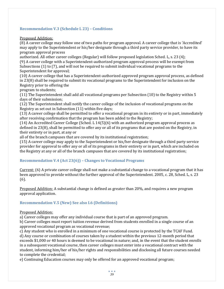# **Recommendation V.3 (Schedule L 23) – Conditions**

Proposed Addition:

(8) A career college may follow one of two paths for program approval. A career college that is 'Accredited' may apply to the Superintendent or his/her designate through a third party service provider, to have its program approval process

authorized. All other career colleges (Regular) will follow proposed legislation Sched. L, s. 23 (4); (9) A career college with a Superintendent-authorized program approval process will be exempt from Subsections (1) to (7), and will not be required to submit individual vocational programs to the Superintendent for approval;

(10) A career college that has a Superintendent-authorized approved program approval process, as defined in 23(8) shall be required to submit its vocational programs to the Superintendent for inclusion on the Registry prior to offering the

program to students;

(11) The Superintendent shall add all vocational programs per Subsection (10) to the Registry within 5 days of their submission;

(12) The Superintendent shall notify the career college of the inclusion of vocational programs on the Registry as set out in Subsection (11) within five days;

(13) A career college shall be permitted to offer a vocational program in its entirety or in part, immediately after receiving confirmation that the program has been added to the Registry;

(14) An Accredited Career College (Sched. L 14(5)(6) with an authorized program approval process as defined in 23(8), shall be permitted to offer any or all of its programs that are posted on the Registry, in their entirety or in part, at any or

all of the branch campuses that are covered by its institutional registration;

(15) A career college may apply to the Superintendent or his/her designate through a third party service provider for approval to offer any or all of its programs in their entirety or in part, which are included on the Registry at any or all of the branch campuses that are covered by its institutional registration;

# **Recommendation V.4 (Act 23(6)) – Changes to Vocational Programs**

Current: (6) A private career college shall not make a substantial change to a vocational program that it has been approved to provide without the further approval of the Superintendent. 2005, c. 28, Sched. L, s. 23 (6).

Proposed Addition: A substantial change is defined as greater than 20%, and requires a new program approval application.

# **Recommendation V.5 (New) See also I.6 (Definitions)**

# Proposed Addition:

a) Career colleges may offer any individual course that is part of an approved program.

b) Career colleges must report tuition revenue derived from students enrolled in a single course of an approved vocational program as vocational revenue;

c) Any student who is enrolled in a minimum of one vocational course is protected by the TCAF Fund. d) Any course or combination of courses taken by a student within the previous 12-month period that exceeds \$1,000 or 40 hours is deemed to be vocational in nature; and, in the event that the student enrolls in a subsequent vocational course, then career colleges must enter into a vocational contract with the student, informing him/her of his/her rights and responsibilities and disclosing all future courses needed to complete the credential;

e) Continuing Education courses may only be offered for an approved vocational program;

 $\bullet$   $\bullet$   $\bullet$ *39*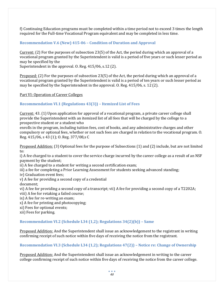f) Continuing Education programs must be completed within a time period not to exceed 3 times the length required for the Full-time Vocational Program equivalent and may be completed in less time.

# **Recommendation V.6 (New) 415-06 – Condition of Duration and Approval**

Current: (2) For the purposes of subsection 23(5) of the Act, the period during which an approval of a vocational program granted by the Superintendent is valid is a period of five years or such lesser period as may be specified by the

Superintendent in the approval. O. Reg. 415/06, s.12 (2).

Proposed: (2) For the purposes of subsection 23(5) of the Act, the period during which an approval of a vocational program granted by the Superintendent is valid is a period of ten years or such lesser period as may be specified by the Superintendent in the approval. O. Reg. 415/06, s. 12 (2).

Part VI: Operation of Career Colleges

# **Recommendation VI.1 (Regulations 43(3)) – Itemized List of Fees**

Current: 43. (1) Upon application for approval of a vocational program, a private career college shall provide the Superintendent with an itemized list of all fees that will be charged by the college to a prospective student or a student who

enrolls in the program, including tuition fees, cost of books, and any administrative charges and other compulsory or optional fees, whether or not such fees are charged in relation to the vocational program. O. Reg. 415/06, s 43 (1); O. Reg. 377/08,s C

Proposed Addition: (3) Optional fees for the purpose of Subsections (1) and (2) include, but are not limited to:

i) A fee charged to a student to cover the service charge incurred by the career college as a result of an NSF payment by the student;

ii) A fee charged to a student for writing a second certification exam;

iii) a fee for completing a Prior Learning Assessment for students seeking advanced standing;

iv) Graduation event fees;

v) A fee for providing a second copy of a credential

document;

vi) A fee for providing a second copy of a transcript; vii) A fee for providing a second copy of a T2202A;

viii) A fee for retaking a failed course;

ix) A fee for re-writing an exam;

x) A fee for printing and photocopying;

xi) Fees for optional events;

xii) Fees for parking.

# **Recommendation VI.2 (Schedule L34 (1,2); Regulations 34(2)(b)) – Same**

Proposed Addition: And the Superintendent shall issue an acknowledgement to the registrant in writing confirming receipt of such notice within five days of receiving the notice from the registrant.

# **Recommendation VI.3 (Schedule L34 (1,2); Regulations 47(2)) – Notice re: Change of Ownership**

Proposed Addition: And the Superintendent shall issue an acknowledgement in writing to the career college confirming receipt of such notice within five days of receiving the notice from the career college.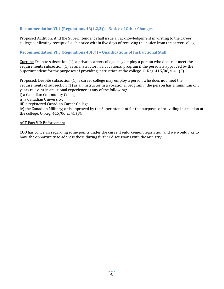# **Recommendation VI.4 (Regulations 48(1,2,3)) – Notice of Other Changes**

Proposed Addition: And the Superintendent shall issue an acknowledgement in writing to the career college confirming receipt of such notice within five days of receiving the notice from the career college.

# **Recommendation VI.5 (Regulations 40(3)) – Qualifications of Instructional Staff**

Current: Despite subsection (1), a private career college may employ a person who does not meet the requirements subsection (1) as an instructor in a vocational program if the person is approved by the Superintendent for the purposes of providing instruction at the college. O. Reg. 415/06, s. 41 (3).

Proposed: Despite subsection (1), a career college may employ a person who does not meet the requirements of subsection (1) as an instructor in a vocational program if the person has a minimum of 3 years relevant instructional experience at any of the following:

i) a Canadian Community College;

ii) a Canadian University;

iii) a registered Canadian Career College;

iv) the Canadian Military; or is approved by the Superintendent for the purposes of providing instruction at the college. O. Reg. 415/06, s. 41 (3).

### ACT Part VII: Enforcement

CCO has concerns regarding some points under the current enforcement legislation and we would like to have the opportunity to address these during further discussions with the Ministry.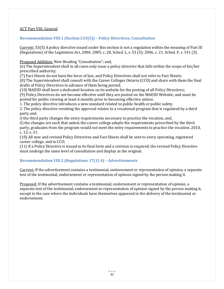# ACT Part VIII: General

# **Recommendation VIII.1 (Section L53(5)) – Policy Directives, Consultation**

Current: 53(5) A policy directive issued under this section is not a regulation within the meaning of Part III (Regulations) of the Legislation Act, 2006. 2005, c. 28, Sched. L, s. 53 (5); 2006, c. 21, Sched. F, s. 141 (3).

Proposed Addition: New Heading "Consultation"; and,

(6) The Superintendent shall in all cases only issue a policy directive that falls within the scope of his/her prescribed authority;

(7) Fact Sheets do not have the force of law, and Policy Directives shall not refer to Fact Sheets;

(8) The Superintendent shall consult with the Career Colleges Ontario (CCO) and share with them the final drafts of Policy Directives in advance of them being posted;

(10) MAESD shall have a dedicated location on its website for the posting of all Policy Directives;

(9) Policy Directives do not become effective until they are posted on the MAESD Website; and must be posted for public viewing at least 6 months prior to becoming effective unless:

1. The policy directive introduces a new standard related to public health or public safety.

2. The policy directive revoking the approval relates to a vocational program that is regulated by a third party and,

i) the third party changes the entry requirements necessary to practice the vocation, and,

ii) the changes are such that unless the career college adopts the requirements prescribed by the third party, graduates from the program would not meet the entry requirements to practice the vocation. 2010, c. 12, s. 21.

(10) All new and revised Policy Directives and Fact Sheets shall be sent to every operating, registered career college, and to CCO;

(11) If a Policy Directive is issued in its final form and a revision is required, the revised Policy Directive must undergo the same level of consultation and display as the original.

# **Recommendation VIII.2 (Regulations 17(1) 4) – Advertisements**

Current: If the advertisement contains a testimonial, endorsement or representation of opinion, a separate text of the testimonial, endorsement or representation of opinion signed by the person making it.

Proposed: If the advertisement contains a testimonial, endorsement or representation of opinion, a separate text of the testimonial, endorsement or representation of opinion signed by the person making it, except in the case where the individuals have themselves appeared in the delivery of the testimonial or endorsement.